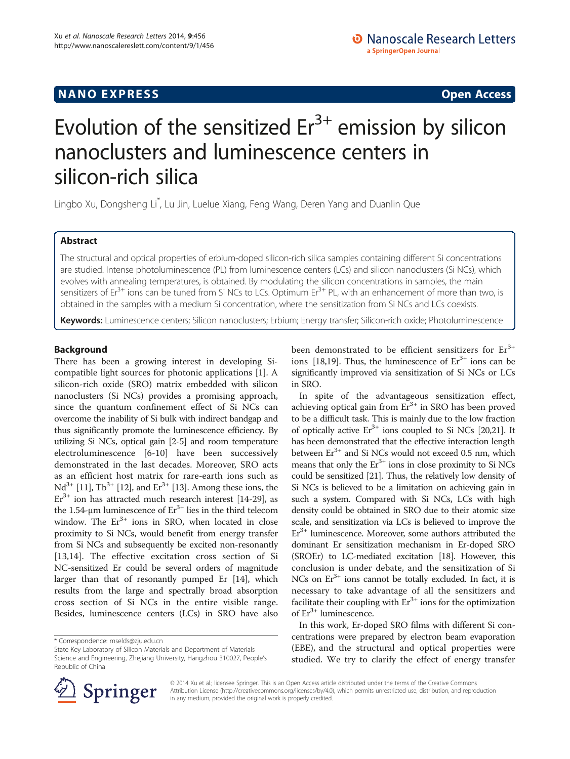# Evolution of the sensitized  $Er<sup>3+</sup>$  emission by silicon nanoclusters and luminescence centers in silicon-rich silica

Lingbo Xu, Dongsheng Li\* , Lu Jin, Luelue Xiang, Feng Wang, Deren Yang and Duanlin Que

# Abstract

The structural and optical properties of erbium-doped silicon-rich silica samples containing different Si concentrations are studied. Intense photoluminescence (PL) from luminescence centers (LCs) and silicon nanoclusters (Si NCs), which evolves with annealing temperatures, is obtained. By modulating the silicon concentrations in samples, the main sensitizers of  $Er^{3+}$  ions can be tuned from Si NCs to LCs. Optimum  $Er^{3+}$  PL, with an enhancement of more than two, is obtained in the samples with a medium Si concentration, where the sensitization from Si NCs and LCs coexists.

Keywords: Luminescence centers; Silicon nanoclusters; Erbium; Energy transfer; Silicon-rich oxide; Photoluminescence

# Background

There has been a growing interest in developing Sicompatible light sources for photonic applications [\[1\]](#page-4-0). A silicon-rich oxide (SRO) matrix embedded with silicon nanoclusters (Si NCs) provides a promising approach, since the quantum confinement effect of Si NCs can overcome the inability of Si bulk with indirect bandgap and thus significantly promote the luminescence efficiency. By utilizing Si NCs, optical gain [\[2-5](#page-4-0)] and room temperature electroluminescence [[6](#page-4-0)[-10](#page-5-0)] have been successively demonstrated in the last decades. Moreover, SRO acts as an efficient host matrix for rare-earth ions such as  $Nd^{3+}$  [[11](#page-5-0)],  $Tb^{3+}$  [\[12\]](#page-5-0), and  $Er^{3+}$  [[13](#page-5-0)]. Among these ions, the  $Er<sup>3+</sup>$  ion has attracted much research interest [[14](#page-5-0)-[29](#page-5-0)], as the 1.54-μm luminescence of  $Er^{3+}$  lies in the third telecom window. The  $Er^{3+}$  ions in SRO, when located in close proximity to Si NCs, would benefit from energy transfer from Si NCs and subsequently be excited non-resonantly [[13,14](#page-5-0)]. The effective excitation cross section of Si NC-sensitized Er could be several orders of magnitude larger than that of resonantly pumped Er [\[14\]](#page-5-0), which results from the large and spectrally broad absorption cross section of Si NCs in the entire visible range. Besides, luminescence centers (LCs) in SRO have also



In spite of the advantageous sensitization effect, achieving optical gain from  $Er^{3+}$  in SRO has been proved to be a difficult task. This is mainly due to the low fraction of optically active  $Er^{3+}$  ions coupled to Si NCs [\[20,21](#page-5-0)]. It has been demonstrated that the effective interaction length between  $Er^{3+}$  and Si NCs would not exceed 0.5 nm, which means that only the  $Er^{3+}$  ions in close proximity to Si NCs could be sensitized [\[21\]](#page-5-0). Thus, the relatively low density of Si NCs is believed to be a limitation on achieving gain in such a system. Compared with Si NCs, LCs with high density could be obtained in SRO due to their atomic size scale, and sensitization via LCs is believed to improve the  $Er<sup>3+</sup>$  luminescence. Moreover, some authors attributed the dominant Er sensitization mechanism in Er-doped SRO (SROEr) to LC-mediated excitation [[18](#page-5-0)]. However, this conclusion is under debate, and the sensitization of Si NCs on  $Er^{3+}$  ions cannot be totally excluded. In fact, it is necessary to take advantage of all the sensitizers and facilitate their coupling with  $Er^{3+}$  ions for the optimization of  $Er^{3+}$  luminescence.

In this work, Er-doped SRO films with different Si concentrations were prepared by electron beam evaporation (EBE), and the structural and optical properties were studied. We try to clarify the effect of energy transfer



© 2014 Xu et al.; licensee Springer. This is an Open Access article distributed under the terms of the Creative Commons Attribution License [\(http://creativecommons.org/licenses/by/4.0\)](http://creativecommons.org/licenses/by/4.0), which permits unrestricted use, distribution, and reproduction in any medium, provided the original work is properly credited.

<sup>\*</sup> Correspondence: [mselds@zju.edu.cn](mailto:mselds@zju.edu.cn)

State Key Laboratory of Silicon Materials and Department of Materials Science and Engineering, Zhejiang University, Hangzhou 310027, People's Republic of China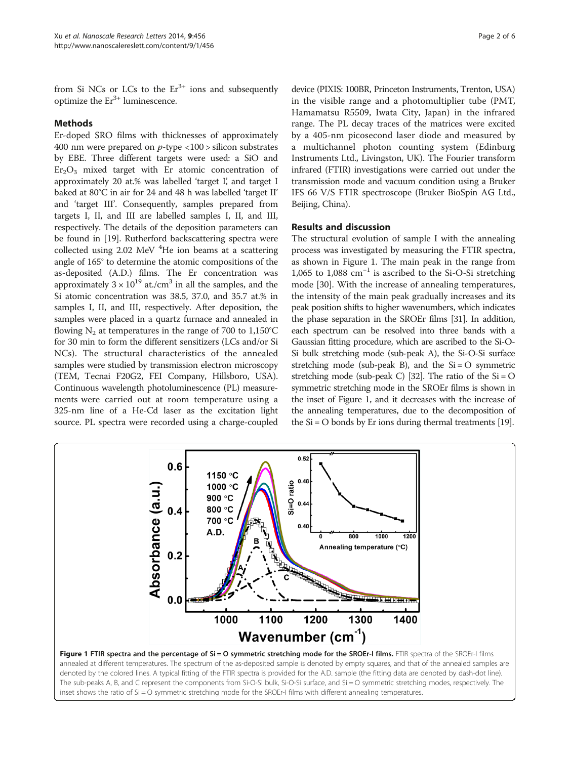from Si NCs or LCs to the  $Er<sup>3+</sup>$  ions and subsequently optimize the  $Er^{3+}$  luminescence.

# Methods

Er-doped SRO films with thicknesses of approximately 400 nm were prepared on  $p$ -type <100 > silicon substrates by EBE. Three different targets were used: a SiO and  $Er<sub>2</sub>O<sub>3</sub>$  mixed target with Er atomic concentration of approximately 20 at.% was labelled 'target I', and target I baked at 80°C in air for 24 and 48 h was labelled 'target II' and 'target III'. Consequently, samples prepared from targets I, II, and III are labelled samples I, II, and III, respectively. The details of the deposition parameters can be found in [[19](#page-5-0)]. Rutherford backscattering spectra were collected using 2.02 MeV <sup>4</sup>He ion beams at a scattering angle of 165° to determine the atomic compositions of the as-deposited (A.D.) films. The Er concentration was approximately  $3 \times 10^{19}$  at./cm<sup>3</sup> in all the samples, and the Si atomic concentration was 38.5, 37.0, and 35.7 at.% in samples I, II, and III, respectively. After deposition, the samples were placed in a quartz furnace and annealed in flowing  $N_2$  at temperatures in the range of 700 to 1,150°C for 30 min to form the different sensitizers (LCs and/or Si NCs). The structural characteristics of the annealed samples were studied by transmission electron microscopy (TEM, Tecnai F20G2, FEI Company, Hillsboro, USA). Continuous wavelength photoluminescence (PL) measurements were carried out at room temperature using a 325-nm line of a He-Cd laser as the excitation light source. PL spectra were recorded using a charge-coupled

device (PIXIS: 100BR, Princeton Instruments, Trenton, USA) in the visible range and a photomultiplier tube (PMT, Hamamatsu R5509, Iwata City, Japan) in the infrared range. The PL decay traces of the matrices were excited by a 405-nm picosecond laser diode and measured by a multichannel photon counting system (Edinburg Instruments Ltd., Livingston, UK). The Fourier transform infrared (FTIR) investigations were carried out under the transmission mode and vacuum condition using a Bruker IFS 66 V/S FTIR spectroscope (Bruker BioSpin AG Ltd., Beijing, China).

# Results and discussion

The structural evolution of sample I with the annealing process was investigated by measuring the FTIR spectra, as shown in Figure 1. The main peak in the range from 1,065 to 1,088 cm−<sup>1</sup> is ascribed to the Si-O-Si stretching mode [[30\]](#page-5-0). With the increase of annealing temperatures, the intensity of the main peak gradually increases and its peak position shifts to higher wavenumbers, which indicates the phase separation in the SROEr films [\[31\]](#page-5-0). In addition, each spectrum can be resolved into three bands with a Gaussian fitting procedure, which are ascribed to the Si-O-Si bulk stretching mode (sub-peak A), the Si-O-Si surface stretching mode (sub-peak B), and the  $Si = O$  symmetric stretching mode (sub-peak C) [[32\]](#page-5-0). The ratio of the  $Si = O$ symmetric stretching mode in the SROEr films is shown in the inset of Figure 1, and it decreases with the increase of the annealing temperatures, due to the decomposition of the  $Si = O$  bonds by Er ions during thermal treatments [\[19](#page-5-0)].



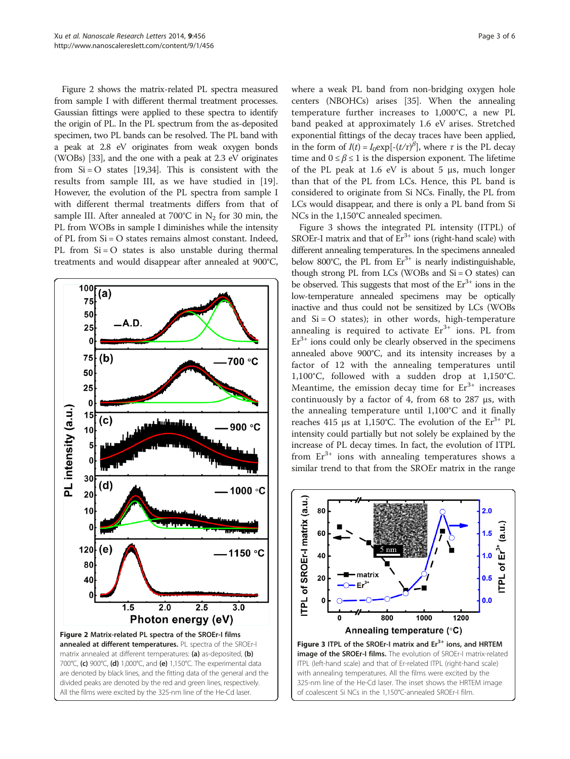<span id="page-2-0"></span>Figure 2 shows the matrix-related PL spectra measured from sample I with different thermal treatment processes. Gaussian fittings were applied to these spectra to identify the origin of PL. In the PL spectrum from the as-deposited specimen, two PL bands can be resolved. The PL band with a peak at 2.8 eV originates from weak oxygen bonds (WOBs) [\[33\]](#page-5-0), and the one with a peak at 2.3 eV originates from  $Si = O$  states [\[19,34](#page-5-0)]. This is consistent with the results from sample III, as we have studied in [\[19](#page-5-0)]. However, the evolution of the PL spectra from sample I with different thermal treatments differs from that of sample III. After annealed at 700°C in  $N_2$  for 30 min, the PL from WOBs in sample I diminishes while the intensity of PL from Si = O states remains almost constant. Indeed, PL from  $Si = O$  states is also unstable during thermal treatments and would disappear after annealed at 900°C,



where a weak PL band from non-bridging oxygen hole centers (NBOHCs) arises [\[35](#page-5-0)]. When the annealing temperature further increases to 1,000°C, a new PL band peaked at approximately 1.6 eV arises. Stretched exponential fittings of the decay traces have been applied, in the form of  $I(t) = I_0 \exp[-(t/\tau)^{\beta}]$ , where  $\tau$  is the PL decay time and  $0 \le \beta \le 1$  is the dispersion exponent. The lifetime of the PL peak at 1.6 eV is about 5  $\mu$ s, much longer than that of the PL from LCs. Hence, this PL band is considered to originate from Si NCs. Finally, the PL from LCs would disappear, and there is only a PL band from Si NCs in the 1,150°C annealed specimen.

Figure 3 shows the integrated PL intensity (ITPL) of SROEr-I matrix and that of  $Er^{3+}$  ions (right-hand scale) with different annealing temperatures. In the specimens annealed below 800°C, the PL from  $Er^{3+}$  is nearly indistinguishable, though strong PL from LCs (WOBs and  $Si = O$  states) can be observed. This suggests that most of the  $Er^{3+}$  ions in the low-temperature annealed specimens may be optically inactive and thus could not be sensitized by LCs (WOBs and  $Si = O$  states); in other words, high-temperature annealing is required to activate  $Er^{3+}$  ions. PL from  $Er<sup>3+</sup>$  ions could only be clearly observed in the specimens annealed above 900°C, and its intensity increases by a factor of 12 with the annealing temperatures until 1,100°C, followed with a sudden drop at 1,150°C. Meantime, the emission decay time for  $Er^{3+}$  increases continuously by a factor of 4, from 68 to 287 μs, with the annealing temperature until 1,100°C and it finally reaches 415 μs at 1,150°C. The evolution of the  $Er^{3+}$  PL intensity could partially but not solely be explained by the increase of PL decay times. In fact, the evolution of ITPL from  $Er^{3+}$  ions with annealing temperatures shows a similar trend to that from the SROEr matrix in the range



of coalescent Si NCs in the 1,150°C-annealed SROEr-I film.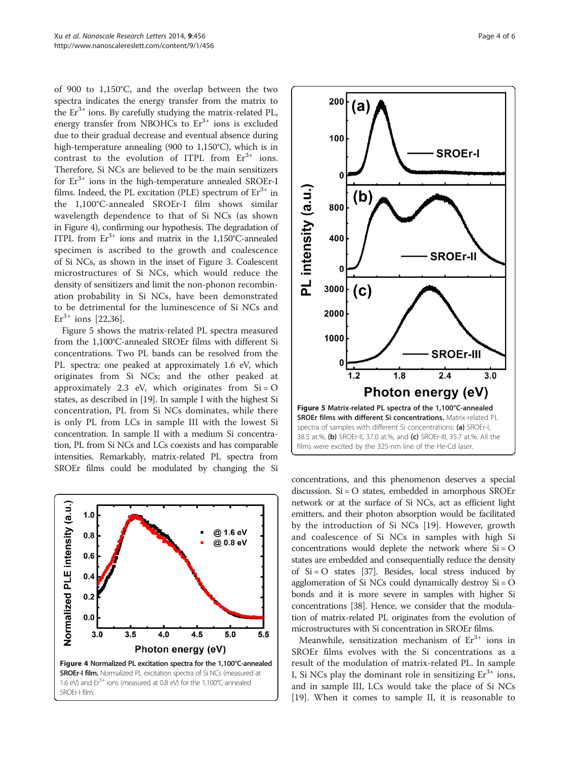of 900 to 1,150°C, and the overlap between the two spectra indicates the energy transfer from the matrix to the  $Er^{3+}$  ions. By carefully studying the matrix-related PL, energy transfer from NBOHCs to  $Er<sup>3+</sup>$  ions is excluded due to their gradual decrease and eventual absence during high-temperature annealing (900 to 1,150°C), which is in contrast to the evolution of ITPL from  $Er^{3+}$  ions. Therefore, Si NCs are believed to be the main sensitizers for  $Er^{3+}$  ions in the high-temperature annealed SROEr-I films. Indeed, the PL excitation (PLE) spectrum of  $Er<sup>3+</sup>$  in the 1,100°C-annealed SROEr-I film shows similar wavelength dependence to that of Si NCs (as shown in Figure 4), confirming our hypothesis. The degradation of ITPL from  $Er^{3+}$  ions and matrix in the 1,150°C-annealed specimen is ascribed to the growth and coalescence of Si NCs, as shown in the inset of Figure [3](#page-2-0). Coalescent microstructures of Si NCs, which would reduce the density of sensitizers and limit the non-phonon recombination probability in Si NCs, have been demonstrated to be detrimental for the luminescence of Si NCs and  $Er^{3+}$  ions [[22,36\]](#page-5-0).

Figure 5 shows the matrix-related PL spectra measured from the 1,100°C-annealed SROEr films with different Si concentrations. Two PL bands can be resolved from the PL spectra: one peaked at approximately 1.6 eV, which originates from Si NCs; and the other peaked at approximately 2.3 eV, which originates from  $Si = O$ states, as described in [[19](#page-5-0)]. In sample I with the highest Si concentration, PL from Si NCs dominates, while there is only PL from LCs in sample III with the lowest Si concentration. In sample II with a medium Si concentration, PL from Si NCs and LCs coexists and has comparable intensities. Remarkably, matrix-related PL spectra from SROEr films could be modulated by changing the Si





concentrations, and this phenomenon deserves a special discussion. Si = O states, embedded in amorphous SROEr network or at the surface of Si NCs, act as efficient light emitters, and their photon absorption would be facilitated by the introduction of Si NCs [[19\]](#page-5-0). However, growth and coalescence of Si NCs in samples with high Si concentrations would deplete the network where  $Si = O$ states are embedded and consequentially reduce the density of  $Si = O$  states [[37](#page-5-0)]. Besides, local stress induced by agglomeration of Si NCs could dynamically destroy Si = O bonds and it is more severe in samples with higher Si concentrations [\[38\]](#page-5-0). Hence, we consider that the modulation of matrix-related PL originates from the evolution of microstructures with Si concentration in SROEr films.

Meanwhile, sensitization mechanism of  $Er<sup>3+</sup>$  ions in SROEr films evolves with the Si concentrations as a result of the modulation of matrix-related PL. In sample I, Si NCs play the dominant role in sensitizing  $Er^{3+}$  ions, and in sample III, LCs would take the place of Si NCs [[19\]](#page-5-0). When it comes to sample II, it is reasonable to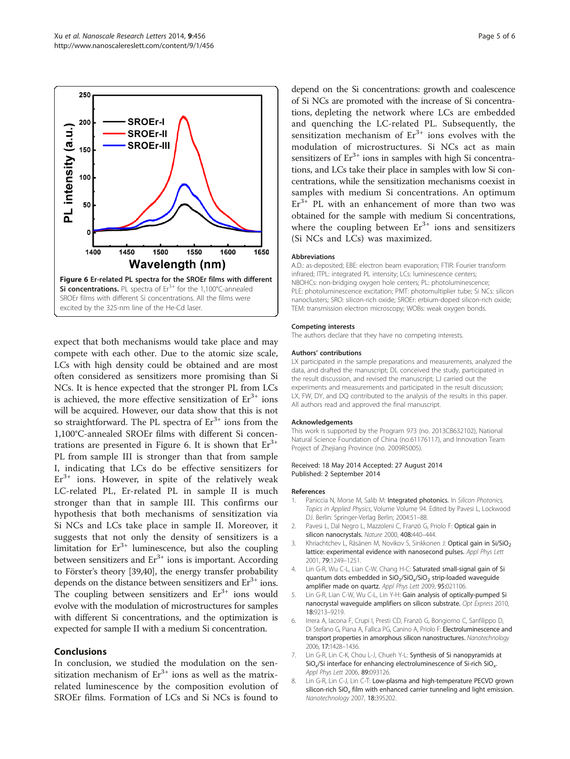<span id="page-4-0"></span>

expect that both mechanisms would take place and may compete with each other. Due to the atomic size scale, LCs with high density could be obtained and are most often considered as sensitizers more promising than Si NCs. It is hence expected that the stronger PL from LCs is achieved, the more effective sensitization of  $Er^{3+}$  ions will be acquired. However, our data show that this is not so straightforward. The PL spectra of  $Er^{3+}$  ions from the 1,100°C-annealed SROEr films with different Si concentrations are presented in Figure 6. It is shown that  $Er^{3+}$ PL from sample III is stronger than that from sample I, indicating that LCs do be effective sensitizers for  $Er<sup>3+</sup>$  ions. However, in spite of the relatively weak LC-related PL, Er-related PL in sample II is much stronger than that in sample III. This confirms our hypothesis that both mechanisms of sensitization via Si NCs and LCs take place in sample II. Moreover, it suggests that not only the density of sensitizers is a limitation for  $Er^{3+}$  luminescence, but also the coupling between sensitizers and  $Er<sup>3+</sup>$  ions is important. According to Förster's theory [\[39,40\]](#page-5-0), the energy transfer probability depends on the distance between sensitizers and  $Er<sup>3+</sup>$  ions. The coupling between sensitizers and  $Er<sup>3+</sup>$  ions would evolve with the modulation of microstructures for samples with different Si concentrations, and the optimization is expected for sample II with a medium Si concentration.

## Conclusions

In conclusion, we studied the modulation on the sensitization mechanism of  $Er^{3+}$  ions as well as the matrixrelated luminescence by the composition evolution of SROEr films. Formation of LCs and Si NCs is found to

depend on the Si concentrations: growth and coalescence of Si NCs are promoted with the increase of Si concentrations, depleting the network where LCs are embedded and quenching the LC-related PL. Subsequently, the sensitization mechanism of  $Er^{3+}$  ions evolves with the modulation of microstructures. Si NCs act as main sensitizers of  $Er^{3+}$  ions in samples with high Si concentrations, and LCs take their place in samples with low Si concentrations, while the sensitization mechanisms coexist in samples with medium Si concentrations. An optimum  $Er<sup>3+</sup>$  PL with an enhancement of more than two was obtained for the sample with medium Si concentrations, where the coupling between  $Er^{3+}$  ions and sensitizers (Si NCs and LCs) was maximized.

### **Abbreviations**

A.D.: as-deposited; EBE: electron beam evaporation; FTIR: Fourier transform infrared; ITPL: integrated PL intensity; LCs: luminescence centers; NBOHCs: non-bridging oxygen hole centers; PL: photoluminescence; PLE: photoluminescence excitation; PMT: photomultiplier tube; Si NCs: silicon nanoclusters; SRO: silicon-rich oxide; SROEr: erbium-doped silicon-rich oxide; TEM: transmission electron microscopy; WOBs: weak oxygen bonds.

#### Competing interests

The authors declare that they have no competing interests.

#### Authors' contributions

LX participated in the sample preparations and measurements, analyzed the data, and drafted the manuscript; DL conceived the study, participated in the result discussion, and revised the manuscript; LJ carried out the experiments and measurements and participated in the result discussion; LX, FW, DY, and DQ contributed to the analysis of the results in this paper. All authors read and approved the final manuscript.

#### Acknowledgements

This work is supported by the Program 973 (no. 2013CB632102), National Natural Science Foundation of China (no.61176117), and Innovation Team Project of Zhejiang Province (no. 2009R5005).

#### Received: 18 May 2014 Accepted: 27 August 2014 Published: 2 September 2014

### References

- 1. Paniccia N, Morse M, Salib M: Integrated photonics. In Silicon Photonics, Topics in Applied Physics, Volume Volume 94. Edited by Pavesi L, Lockwood DJ. Berlin: Springer-Verlag Berlin; 2004:51–88.
- 2. Pavesi L, Dal Negro L, Mazzoleni C, Franzò G, Priolo F: Optical gain in silicon nanocrystals. Nature 2000, 408:440–444.
- 3. Khriachtchev L, Räsänen M, Novikov S, Sinkkonen J: Optical gain in Si/SiO<sub>2</sub> lattice: experimental evidence with nanosecond pulses. Appl Phys Lett 2001, 79:1249–1251.
- 4. Lin G-R, Wu C-L, Lian C-W, Chang H-C: Saturated small-signal gain of Si quantum dots embedded in  $SiO_2/SiO_x/SiO_2$  strip-loaded waveguide amplifier made on quartz. Appl Phys Lett 2009, 95:021106.
- 5. Lin G-R, Lian C-W, Wu C-L, Lin Y-H: Gain analysis of optically-pumped Si nanocrystal waveguide amplifiers on silicon substrate. Opt Express 2010, 18:9213–9219.
- 6. Irrera A, Iacona F, Crupi I, Presti CD, Franzò G, Bongiorno C, Sanfilippo D, Di Stefano G, Piana A, Fallica PG, Canino A, Priolo F: Electroluminescence and transport properties in amorphous silicon nanostructures. Nanotechnology 2006, 17:1428–1436.
- 7. Lin G-R, Lin C-K, Chou L-J, Chueh Y-L: Synthesis of Si nanopyramids at  $SiO_x/Si$  interface for enhancing electroluminescence of Si-rich  $SiO_x$ . Appl Phys Lett 2006, 89:093126.
- 8. Lin G-R, Lin C-J, Lin C-T: Low-plasma and high-temperature PECVD grown silicon-rich  $SiO<sub>x</sub>$  film with enhanced carrier tunneling and light emission. Nanotechnology 2007, 18:395202.